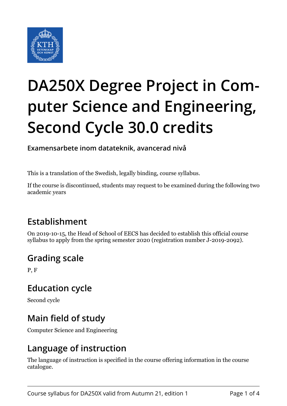

# **DA250X Degree Project in Computer Science and Engineering, Second Cycle 30.0 credits**

**Examensarbete inom datateknik, avancerad nivå**

This is a translation of the Swedish, legally binding, course syllabus.

If the course is discontinued, students may request to be examined during the following two academic years

## **Establishment**

On 2019-10-15, the Head of School of EECS has decided to establish this official course syllabus to apply from the spring semester 2020 (registration number J-2019-2092).

#### **Grading scale**

P, F

#### **Education cycle**

Second cycle

## **Main field of study**

Computer Science and Engineering

## **Language of instruction**

The language of instruction is specified in the course offering information in the course catalogue.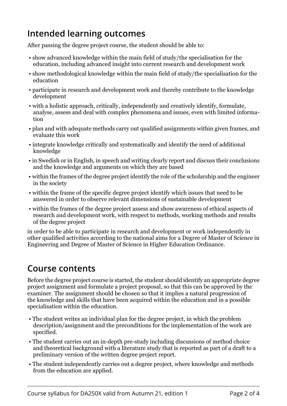## **Intended learning outcomes**

After passing the degree project course, the student should be able to:

- show advanced knowledge within the main field of study/the specialisation for the education, including advanced insight into current research and development work
- show methodological knowledge within the main field of study/the specialisation for the education
- participate in research and development work and thereby contribute to the knowledge development
- with a holistic approach, critically, independently and creatively identify, formulate, analyse, assess and deal with complex phenomena and issues, even with limited information
- plan and with adequate methods carry out qualified assignments within given frames, and evaluate this work
- integrate knowledge critically and systematically and identify the need of additional knowledge
- in Swedish or in English, in speech and writing clearly report and discuss their conclusions and the knowledge and arguments on which they are based
- within the frames of the degree project identify the role of the scholarship and the engineer in the society
- within the frame of the specific degree project identify which issues that need to be answered in order to observe relevant dimensions of sustainable development
- within the frames of the degree project assess and show awareness of ethical aspects of research and development work, with respect to methods, working methods and results of the degree project

in order to be able to participate in research and development or work independently in other qualified activities according to the national aims for a Degree of Master of Science in Engineering and Degree of Master of Science in Higher Education Ordinance.

#### **Course contents**

Before the degree project course is started, the student should identify an appropriate degree project assignment and formulate a project proposal, so that this can be approved by the examiner. The assignment should be chosen so that it implies a natural progression of the knowledge and skills that have been acquired within the education and in a possible specialisation within the education.

- The student writes an individual plan for the degree project, in which the problem description/assignment and the preconditions for the implementation of the work are specified.
- The student carries out an in-depth pre-study including discussions of method choice and theoretical background with a literature study that is reported as part of a draft to a preliminary version of the written degree project report.
- The student independently carries out a degree project, where knowledge and methods from the education are applied.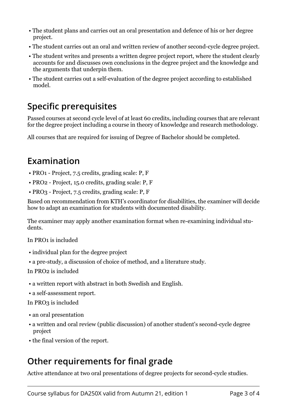- The student plans and carries out an oral presentation and defence of his or her degree project.
- The student carries out an oral and written review of another second-cycle degree project.
- The student writes and presents a written degree project report, where the student clearly accounts for and discusses own conclusions in the degree project and the knowledge and the arguments that underpin them.
- The student carries out a self-evaluation of the degree project according to established model.

#### **Specific prerequisites**

Passed courses at second cycle level of at least 60 credits, including courses that are relevant for the degree project including a course in theory of knowledge and research methodology.

All courses that are required for issuing of Degree of Bachelor should be completed.

#### **Examination**

- PRO1 Project, 7.5 credits, grading scale: P, F
- PRO2 Project, 15.0 credits, grading scale: P, F
- PRO3 Project, 7.5 credits, grading scale: P, F

Based on recommendation from KTH's coordinator for disabilities, the examiner will decide how to adapt an examination for students with documented disability.

The examiner may apply another examination format when re-examining individual students.

In PRO1 is included

- individual plan for the degree project
- a pre-study, a discussion of choice of method, and a literature study.

In PRO2 is included

- a written report with abstract in both Swedish and English.
- a self-assessment report.

In PRO3 is included

- an oral presentation
- a written and oral review (public discussion) of another student's second-cycle degree project
- the final version of the report.

## **Other requirements for final grade**

Active attendance at two oral presentations of degree projects for second-cycle studies.